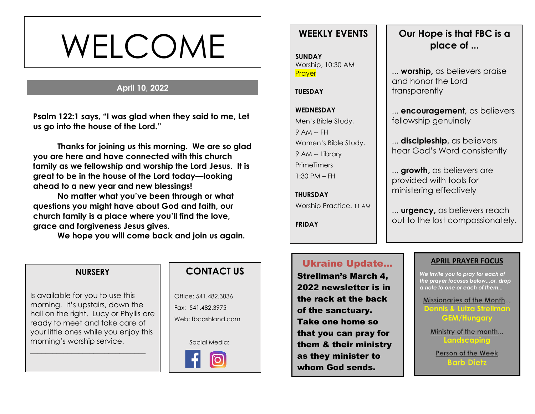# WELCOME

# **April 10, 2022**

**s Psalm 122:1 says, "I was glad when they said to me, Let us go into the house of the Lord."**

**Thanks for joining us this morning. We are so glad you are here and have connected with this church family as we fellowship and worship the Lord Jesus. It is great to be in the house of the Lord today—looking ahead to a new year and new blessings!** 

**No matter what you've been through or what questions you might have about God and faith, our church family is a place where you'll find the love, grace and forgiveness Jesus gives.**

**We hope you will come back and join us again.**

# **WEEKLY EVENTS**

**SUNDAY** Worship, 10:30 AM **Prayer** 

#### **TUESDAY**

# **WEDNESDAY** Men's Bible Study, 9 AM -- FH Women's Bible Study, 9 AM -- Library **PrimeTimers** 1:30 PM – FH

**THURSDAY** Worship Practice. 11 AM

**FRIDAY**

# **Our Hope is that FBC is a place of ...**

... **worship,** as believers praise and honor the Lord transparently

... **encouragement,** as believers fellowship genuinely

... **discipleship,** as believers hear God's Word consistently

... **growth,** as believers are provided with tools for ministering effectively

... **urgency,** as believers reach out to the lost compassionately.

### **NURSERY**

Is available for you to use this morning. It's upstairs, down the hall on the right. Lucy or Phyllis are ready to meet and take care of your little ones while you enjoy this morning's worship service.

\_\_\_\_\_\_\_\_\_\_\_\_\_\_\_\_\_\_\_\_\_\_\_\_\_\_\_\_\_\_\_

# **CONTACT US**

Office: 541.482.3836 Fax: 541.482.3975 Web: fbcashland.com

Social Media:



# Ukraine Update…

Strellman's March 4, 2022 newsletter is in the rack at the back of the sanctuary. Take one home so that you can pray for them & their ministry as they minister to whom God sends.

### **APRIL PRAYER FOCUS**

*We invite you to pray for each of the prayer focuses below...or, drop a note to one or each of them...*

Missionaries of the Month... **Dennis & Luiza Strellman GEM/Hungary**

Ministry of the month... **Landscaping**

Person of the Week **Barb Dietz**